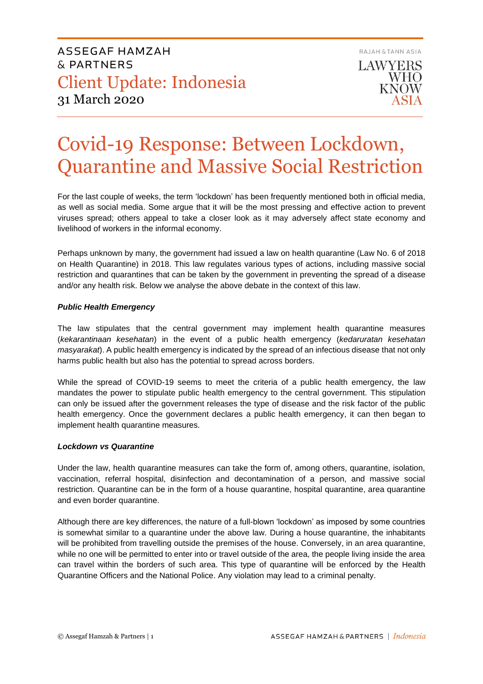

# Covid-19 Response: Between Lockdown, Quarantine and Massive Social Restriction

For the last couple of weeks, the term 'lockdown' has been frequently mentioned both in official media, as well as social media. Some argue that it will be the most pressing and effective action to prevent viruses spread; others appeal to take a closer look as it may adversely affect state economy and livelihood of workers in the informal economy.

Perhaps unknown by many, the government had issued a law on health quarantine (Law No. 6 of 2018 on Health Quarantine) in 2018. This law regulates various types of actions, including massive social restriction and quarantines that can be taken by the government in preventing the spread of a disease and/or any health risk. Below we analyse the above debate in the context of this law.

## *Public Health Emergency*

The law stipulates that the central government may implement health quarantine measures (*kekarantinaan kesehatan*) in the event of a public health emergency (*kedaruratan kesehatan masyarakat*). A public health emergency is indicated by the spread of an infectious disease that not only harms public health but also has the potential to spread across borders.

While the spread of COVID-19 seems to meet the criteria of a public health emergency, the law mandates the power to stipulate public health emergency to the central government. This stipulation can only be issued after the government releases the type of disease and the risk factor of the public health emergency. Once the government declares a public health emergency, it can then began to implement health quarantine measures.

## *Lockdown vs Quarantine*

Under the law, health quarantine measures can take the form of, among others, quarantine, isolation, vaccination, referral hospital, disinfection and decontamination of a person, and massive social restriction. Quarantine can be in the form of a house quarantine, hospital quarantine, area quarantine and even border quarantine.

Although there are key differences, the nature of a full-blown 'lockdown' as imposed by some countries is somewhat similar to a quarantine under the above law. During a house quarantine, the inhabitants will be prohibited from travelling outside the premises of the house. Conversely, in an area quarantine, while no one will be permitted to enter into or travel outside of the area, the people living inside the area can travel within the borders of such area. This type of quarantine will be enforced by the Health Quarantine Officers and the National Police. Any violation may lead to a criminal penalty.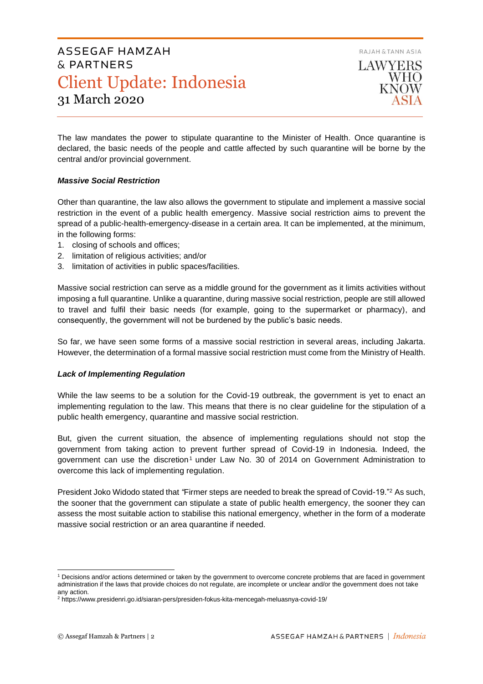RAJAH & TANN ASIA

# ASSEGAF HAMZAH & PARTNERS Client Update: Indonesia 31 March 2020

LAWYERS **WHO KNOW** 

The law mandates the power to stipulate quarantine to the Minister of Health. Once quarantine is declared, the basic needs of the people and cattle affected by such quarantine will be borne by the central and/or provincial government.

## *Massive Social Restriction*

Other than quarantine, the law also allows the government to stipulate and implement a massive social restriction in the event of a public health emergency. Massive social restriction aims to prevent the spread of a public-health-emergency-disease in a certain area. It can be implemented, at the minimum, in the following forms:

- 1. closing of schools and offices;
- 2. limitation of religious activities; and/or
- 3. limitation of activities in public spaces/facilities.

Massive social restriction can serve as a middle ground for the government as it limits activities without imposing a full quarantine. Unlike a quarantine, during massive social restriction, people are still allowed to travel and fulfil their basic needs (for example, going to the supermarket or pharmacy), and consequently, the government will not be burdened by the public's basic needs.

So far, we have seen some forms of a massive social restriction in several areas, including Jakarta. However, the determination of a formal massive social restriction must come from the Ministry of Health.

## *Lack of Implementing Regulation*

While the law seems to be a solution for the Covid-19 outbreak, the government is yet to enact an implementing regulation to the law. This means that there is no clear guideline for the stipulation of a public health emergency, quarantine and massive social restriction.

But, given the current situation, the absence of implementing regulations should not stop the government from taking action to prevent further spread of Covid-19 in Indonesia. Indeed, the government can use the discretion<sup>1</sup> under Law No. 30 of 2014 on Government Administration to overcome this lack of implementing regulation.

President Joko Widodo stated that *"*Firmer steps are needed to break the spread of Covid-19."<sup>2</sup> As such, the sooner that the government can stipulate a state of public health emergency, the sooner they can assess the most suitable action to stabilise this national emergency, whether in the form of a moderate massive social restriction or an area quarantine if needed.

<sup>1</sup> Decisions and/or actions determined or taken by the government to overcome concrete problems that are faced in government administration if the laws that provide choices do not regulate, are incomplete or unclear and/or the government does not take any action.

<sup>2</sup> https://www.presidenri.go.id/siaran-pers/presiden-fokus-kita-mencegah-meluasnya-covid-19/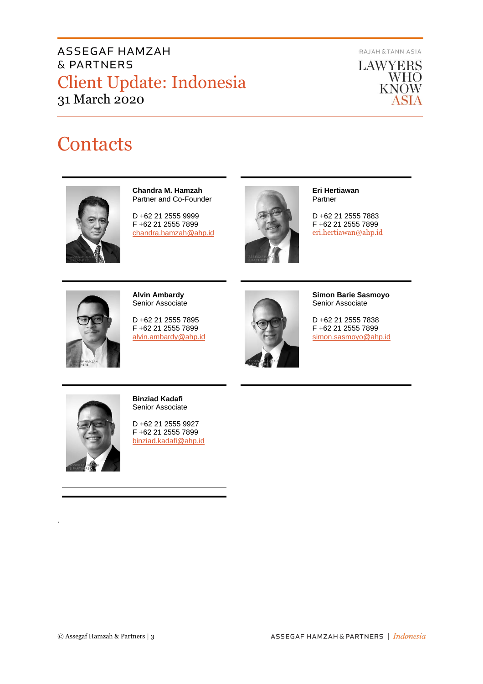# ASSEGAF HAMZAH & PARTNERS Client Update: Indonesia 31 March 2020

RAJAH & TANN ASIA



# **Contacts**



**Chandra M. Hamzah** Partner and Co-Founder

D +62 21 2555 9999 F +62 21 2555 7899 [chandra.hamzah@ahp.id](mailto:chandra.hamzah@ahp.id)



**Eri Hertiawan** Partner

D +62 21 2555 7883 F +62 21 2555 7899 [eri.hertiawan@ahp.id](mailto:eri.hertiawan@ahp.id)



**Alvin Ambardy** Senior Associate

D +62 21 2555 7895 F +62 21 2555 7899 [alvin.ambardy@ahp.id](mailto:alvin.ambardy@ahp.id)



**Simon Barie Sasmoyo** Senior Associate

D +62 21 2555 7838 F +62 21 2555 7899 [simon.sasmoyo@ahp.id](mailto:simon.sasmoyo@ahp.id)



*.*

**Binziad Kadafi** Senior Associate

D +62 21 2555 9927 F +62 21 2555 7899 [binziad.kadafi@ahp.id](mailto:binziad.kadafi@ahp.id)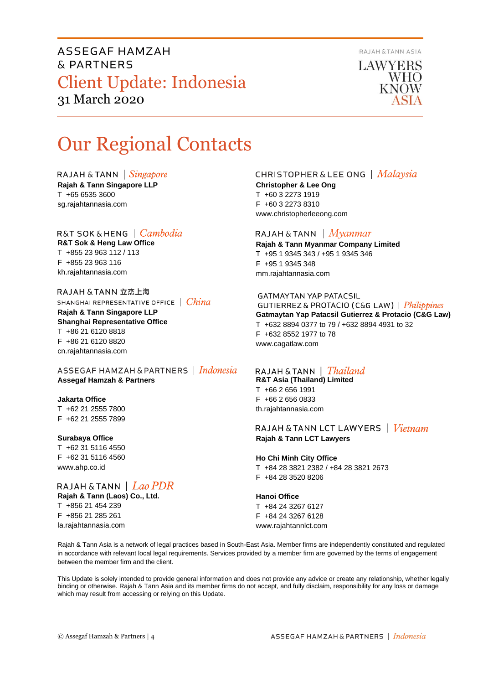ASSEGAF HAMZAH & PARTNERS Client Update: Indonesia 31 March 2020



LAWYERS **WHO KNOW** 

# Our Regional Contacts

RAJAH & TANN  $\int$  *Singapore* 

**Rajah & Tann Singapore LLP** T +65 6535 3600 sg.rajahtannasia.com

# R&T SOK&HENG | *Cambodia*

**R&T Sok & Heng Law Office** T +855 23 963 112 / 113 F +855 23 963 116 kh.rajahtannasia.com

RAJAH & TANN 立杰上海 SHANGHAI REPRESENTATIVE OFFICE | China **Rajah & Tann Singapore LLP Shanghai Representative Office** T +86 21 6120 8818 F +86 21 6120 8820 cn.rajahtannasia.com

ASSEGAF HAMZAH & PARTNERS | Indonesia **Assegaf Hamzah & Partners**

## **Jakarta Office**

T +62 21 2555 7800 F +62 21 2555 7899

#### **Surabaya Office**

T +62 31 5116 4550 F +62 31 5116 4560 www.ahp.co.id

RAJAH & TANN | Lao PDR **Rajah & Tann (Laos) Co., Ltd.** T +856 21 454 239 F +856 21 285 261 la.rajahtannasia.com

# **CHRISTOPHER & LEE ONG** | Malaysia

**Christopher & Lee Ong** T +60 3 2273 1919 F +60 3 2273 8310 www.christopherleeong.com

## RAJAH & TANN  $\mid$  *Myanmar*

**Rajah & Tann Myanmar Company Limited** T +95 1 9345 343 / +95 1 9345 346 F +95 1 9345 348 mm.rajahtannasia.com

#### **GATMAYTAN YAP PATACSIL**

GUTIERREZ & PROTACIO (C&G LAW) | Philippines **Gatmaytan Yap Patacsil Gutierrez & Protacio (C&G Law)**  T +632 8894 0377 to 79 / +632 8894 4931 to 32 F +632 8552 1977 to 78 www.cagatlaw.com

# RAJAH & TANN | Thailand

**R&T Asia (Thailand) Limited** T +66 2 656 1991 F +66 2 656 0833 th.rajahtannasia.com

RAJAH & TANN LCT LAWYERS | Vietnam **Rajah & Tann LCT Lawyers**

#### **Ho Chi Minh City Office** T +84 28 3821 2382 / +84 28 3821 2673 F +84 28 3520 8206

**Hanoi Office** T +84 24 3267 6127

F +84 24 3267 6128 www.rajahtannlct.com

Rajah & Tann Asia is a network of legal practices based in South-East Asia. Member firms are independently constituted and regulated in accordance with relevant local legal requirements. Services provided by a member firm are governed by the terms of engagement between the member firm and the client.

This Update is solely intended to provide general information and does not provide any advice or create any relationship, whether legally binding or otherwise. Rajah & Tann Asia and its member firms do not accept, and fully disclaim, responsibility for any loss or damage which may result from accessing or relying on this Update.